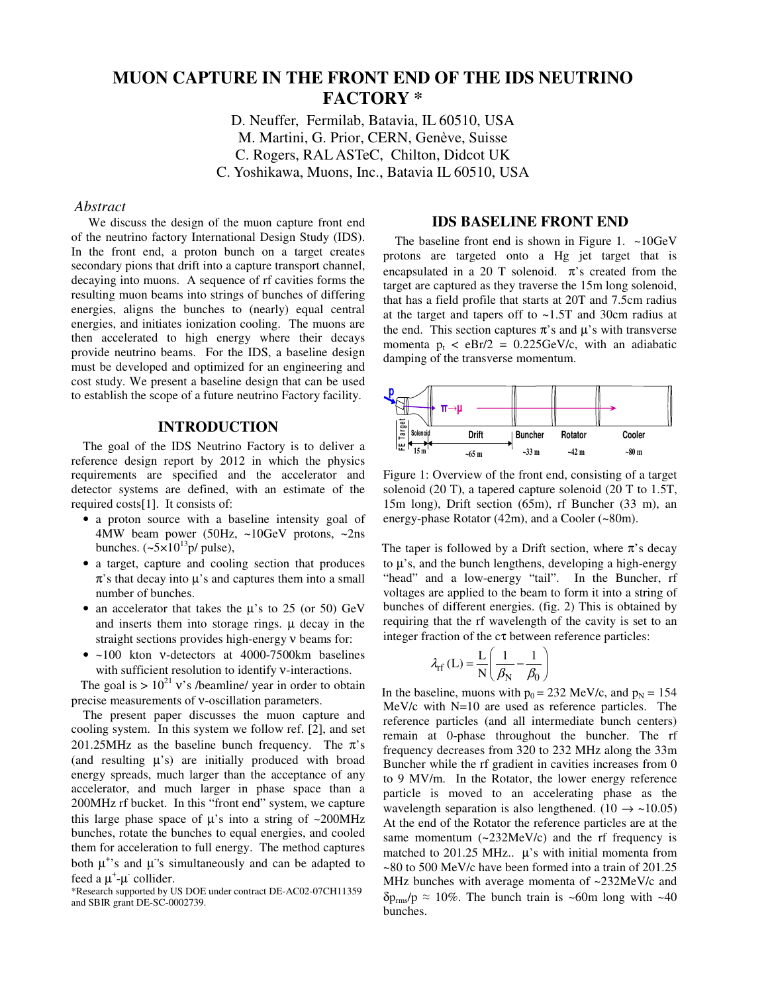# **MUON CAPTURE IN THE FRONT END OF THE IDS NEUTRINO FACTORY \***

D. Neuffer, Fermilab, Batavia, IL 60510, USA M. Martini, G. Prior, CERN, Genève, Suisse C. Rogers, RAL ASTeC, Chilton, Didcot UK C. Yoshikawa, Muons, Inc., Batavia IL 60510, USA

#### *Abstract*

We discuss the design of the muon capture front end of the neutrino factory International Design Study (IDS). In the front end, a proton bunch on a target creates secondary pions that drift into a capture transport channel, decaying into muons. A sequence of rf cavities forms the resulting muon beams into strings of bunches of differing energies, aligns the bunches to (nearly) equal central energies, and initiates ionization cooling. The muons are then accelerated to high energy where their decays provide neutrino beams. For the IDS, a baseline design must be developed and optimized for an engineering and cost study. We present a baseline design that can be used to establish the scope of a future neutrino Factory facility.

# **INTRODUCTION**

The goal of the IDS Neutrino Factory is to deliver a reference design report by 2012 in which the physics requirements are specified and the accelerator and detector systems are defined, with an estimate of the required costs[1]. It consists of:

- a proton source with a baseline intensity goal of 4MW beam power (50Hz, ~10GeV protons, ~2ns bunches.  $({\sim}5\times10^{13} \text{p}/\text{ pulse})$ ,
- a target, capture and cooling section that produces  $\pi$ 's that decay into  $\mu$ 's and captures them into a small number of bunches.
- an accelerator that takes the  $\mu$ 's to 25 (or 50) GeV and inserts them into storage rings.  $\mu$  decay in the straight sections provides high-energy ν beams for:
- ~100 kton v-detectors at 4000-7500 km baselines with sufficient resolution to identify *v*-interactions.

The goal is  $> 10^{21}$  v's /beamline/ year in order to obtain precise measurements of ν-oscillation parameters.

The present paper discusses the muon capture and cooling system. In this system we follow ref. [2], and set 201.25MHz as the baseline bunch frequency. The  $\pi$ 's (and resulting  $\mu$ 's) are initially produced with broad energy spreads, much larger than the acceptance of any accelerator, and much larger in phase space than a 200MHz rf bucket. In this "front end" system, we capture this large phase space of  $\mu$ 's into a string of ~200MHz bunches, rotate the bunches to equal energies, and cooled them for acceleration to full energy. The method captures both  $\mu^*$ 's and  $\mu^*$ 's simultaneously and can be adapted to feed a  $\mu^+$ - $\mu^-$  collider.

\*Research supported by US DOE under contract DE-AC02-07CH11359 and SBIR grant DE-SC-0002739.

#### **IDS BASELINE FRONT END**

The baseline front end is shown in Figure 1.  $\sim$ 10GeV protons are targeted onto a Hg jet target that is encapsulated in a 20 T solenoid.  $\pi$ 's created from the target are captured as they traverse the 15m long solenoid, that has a field profile that starts at 20T and 7.5cm radius at the target and tapers off to ~1.5T and 30cm radius at the end. This section captures  $\pi$ 's and  $\mu$ 's with transverse momenta  $p_t < eBr/2 = 0.225 GeV/c$ , with an adiabatic damping of the transverse momentum.



Figure 1: Overview of the front end, consisting of a target solenoid (20 T), a tapered capture solenoid (20 T to 1.5T, 15m long), Drift section (65m), rf Buncher (33 m), an energy-phase Rotator (42m), and a Cooler (~80m).

The taper is followed by a Drift section, where  $\pi$ 's decay to  $\mu$ 's, and the bunch lengthens, developing a high-energy "head" and a low-energy "tail". In the Buncher, rf voltages are applied to the beam to form it into a string of bunches of different energies. (fig. 2) This is obtained by requiring that the rf wavelength of the cavity is set to an integer fraction of the cτ between reference particles:

$$
\lambda_{\rm rf}\left(L\right) = \frac{L}{N} \left(\frac{1}{\beta_N} - \frac{1}{\beta_0}\right)
$$

In the baseline, muons with  $p_0 = 232$  MeV/c, and  $p_N = 154$ MeV/c with N=10 are used as reference particles. The reference particles (and all intermediate bunch centers) remain at 0-phase throughout the buncher. The rf frequency decreases from 320 to 232 MHz along the 33m Buncher while the rf gradient in cavities increases from 0 to 9 MV/m. In the Rotator, the lower energy reference particle is moved to an accelerating phase as the wavelength separation is also lengthened.  $(10 \rightarrow \sim 10.05)$ At the end of the Rotator the reference particles are at the same momentum  $(-232 \text{MeV/c})$  and the rf frequency is matched to 201.25 MHz..  $\mu$ 's with initial momenta from ~80 to 500 MeV/c have been formed into a train of 201.25 MHz bunches with average momenta of ~232MeV/c and  $\delta p_{\rm rms} / p \approx 10\%$ . The bunch train is ~60m long with ~40 bunches.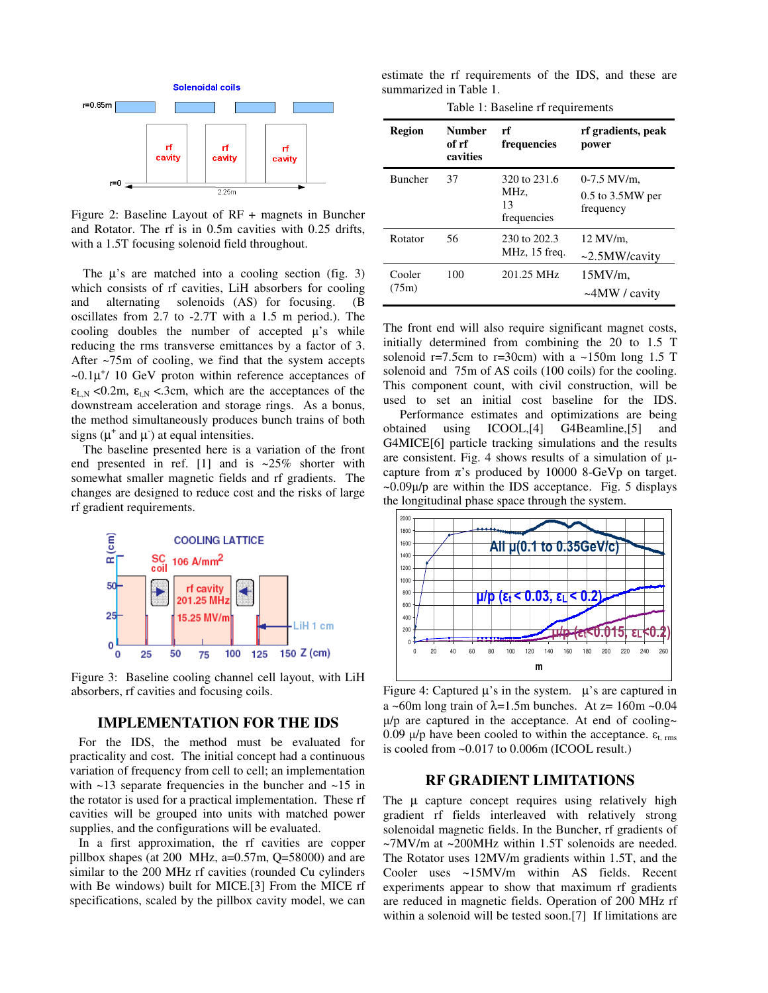

Figure 2: Baseline Layout of RF + magnets in Buncher and Rotator. The rf is in 0.5m cavities with 0.25 drifts, with a 1.5T focusing solenoid field throughout.

The  $\mu$ 's are matched into a cooling section (fig. 3) which consists of rf cavities, LiH absorbers for cooling and alternating solenoids (AS) for focusing. (B oscillates from 2.7 to -2.7T with a 1.5 m period.). The cooling doubles the number of accepted  $\mu$ 's while reducing the rms transverse emittances by a factor of 3. After ~75m of cooling, we find that the system accepts  $\sim 0.1 \mu^{+}$ / 10 GeV proton within reference acceptances of  $\epsilon_{LN}$  <0.2m,  $\epsilon_{LN}$  <.3cm, which are the acceptances of the downstream acceleration and storage rings. As a bonus, the method simultaneously produces bunch trains of both signs ( $\mu^+$  and  $\mu^-$ ) at equal intensities.

The baseline presented here is a variation of the front end presented in ref. [1] and is  $\sim$ 25% shorter with somewhat smaller magnetic fields and rf gradients. The changes are designed to reduce cost and the risks of large rf gradient requirements.



Figure 3: Baseline cooling channel cell layout, with LiH absorbers, rf cavities and focusing coils.

#### **IMPLEMENTATION FOR THE IDS**

For the IDS, the method must be evaluated for practicality and cost. The initial concept had a continuous variation of frequency from cell to cell; an implementation with  $\sim$ 13 separate frequencies in the buncher and  $\sim$ 15 in the rotator is used for a practical implementation. These rf cavities will be grouped into units with matched power supplies, and the configurations will be evaluated.

In a first approximation, the rf cavities are copper pillbox shapes (at 200 MHz,  $a=0.57m$ ,  $Q=58000$ ) and are similar to the 200 MHz rf cavities (rounded Cu cylinders with Be windows) built for MICE.[3] From the MICE rf specifications, scaled by the pillbox cavity model, we can

estimate the rf requirements of the IDS, and these are summarized in Table 1.

Table 1: Baseline rf requirements

| <b>Region</b>   | <b>Number</b><br>of rf<br>cavities | rf<br>frequencies                         | rf gradients, peak<br>power                        |
|-----------------|------------------------------------|-------------------------------------------|----------------------------------------------------|
| <b>Buncher</b>  | 37                                 | 320 to 231.6<br>MHz.<br>13<br>frequencies | $0-7.5$ MV/m.<br>$0.5$ to $3.5MW$ per<br>frequency |
| Rotator         | 56                                 | 230 to 202.3<br>MHz, 15 freq.             | 12 MV/m.<br>$\sim$ 2.5MW/cavity                    |
| Cooler<br>(75m) | 100                                | 201.25 MHz                                | $15MV/m$ ,<br>$\sim$ 4MW / cavity                  |

The front end will also require significant magnet costs, initially determined from combining the 20 to 1.5 T solenoid  $r=7.5cm$  to  $r=30cm$ ) with a  $\sim 150m$  long 1.5 T solenoid and 75m of AS coils (100 coils) for the cooling. This component count, with civil construction, will be used to set an initial cost baseline for the IDS.

Performance estimates and optimizations are being obtained using ICOOL,[4] G4Beamline,[5] and G4MICE[6] particle tracking simulations and the results are consistent. Fig. 4 shows results of a simulation of  $\mu$ capture from  $\pi$ 's produced by 10000 8-GeVp on target.  $\sim 0.09\mu/p$  are within the IDS acceptance. Fig. 5 displays the longitudinal phase space through the system.



Figure 4: Captured  $\mu$ 's in the system.  $\mu$ 's are captured in a ~60m long train of  $\lambda$ =1.5m bunches. At z= 160m ~0.04  $\mu$ /p are captured in the acceptance. At end of cooling~ 0.09  $\mu$ /p have been cooled to within the acceptance.  $\varepsilon_{\text{t}}$  rms is cooled from ~0.017 to 0.006m (ICOOL result.)

## **RF GRADIENT LIMITATIONS**

The  $\mu$  capture concept requires using relatively high gradient rf fields interleaved with relatively strong solenoidal magnetic fields. In the Buncher, rf gradients of ~7MV/m at ~200MHz within 1.5T solenoids are needed. The Rotator uses 12MV/m gradients within 1.5T, and the Cooler uses ~15MV/m within AS fields. Recent experiments appear to show that maximum rf gradients are reduced in magnetic fields. Operation of 200 MHz rf within a solenoid will be tested soon.[7] If limitations are